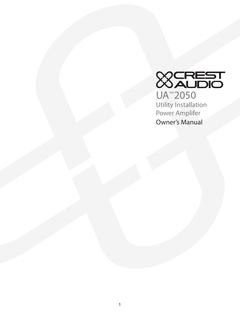

Owner's Manual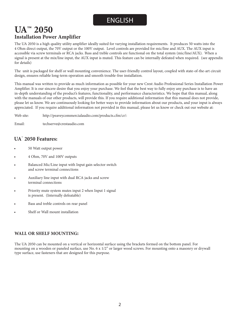# ENGLISH

# **UA™ 2050 Installation Power Amplifier**

The UA 2050 is a high quality utility amplifier ideally suited for varying installation requirements. It produces 50 watts into the 4 Ohm direct output, the 70V output or the 100V output. Level controls are provided for mic/line and AUX. The AUX input is accessible via screw terminals or RCA jacks. Bass and treble controls are functional on the total system (mic/line/AUX). When a signal is present at the mix/line input, the AUX input is muted. This feature can be internally defeated when required. (see appendix for details)

The unit is packaged for shelf or wall mounting convenience. The user-friendly control layout, coupled with state-of-the-art circuit design, ensures reliable long-term operation and smooth trouble-free installation.

This manual was written to provide as much information as possible for your new Crest Audio Professional Series Installation Power Amplifier. It is our sincere desire that you enjoy your purchase. We feel that the best way to fully enjoy any purchase is to have an in-depth understanding of the product's features, functionality, and performance characteristics. We hope that this manual, along with the manuals of our other products, will provide this. If you require additional information that this manual does not provide, please let us know. We are continuously looking for better ways to provide information about our products, and your input is always appreciated. If you require additional information not provided in this manual, please let us know or check out our website at:

Web site: http://peaveycommercialaudio.com/products.cfm/cr/:

Email: techserve@crestaudio.com

# **UA™ 2050 Features:**

- 50 Watt output power
- 4 Ohm, 70V and 100V outputs
- Balanced Mic/Line input with Input gain selector switch and screw terminal connections
- Auxiliary line input with dual RCA jacks and screw terminal connections
- Priority mute system mutes input 2 when Input 1 signal is present. (Internally defeatable)
- Bass and treble controls on rear panel
- Shelf or Wall mount installation

# **WALL OR SHELF MOUNTING:**

The UA 2050 can be mounted on a vertical or horizontal surface using the brackets formed on the bottom panel. For mounting on a wooden or paneled surface, use No. 6 x 1/2" or larger wood screws. For mounting onto a masonry or drywall type surface, use fasteners that are designed for this purpose.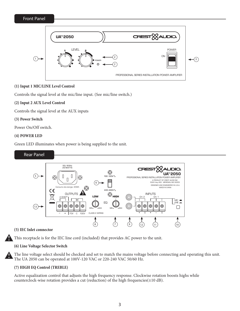Front Panel



# **(1) Input 1 MIC/LINE Level Control**

Controls the signal level at the mic/line input. (See mic/line switch.)

# **(2) Input 2 AUX Level Control**

Controls the signal level at the AUX inputs

## **(3) Power Switch**

Power On/Off switch.

# **(4) POWER LED**

Green LED illuminates when power is being supplied to the unit.



#### **(5) IEC Inlet connector**

This receptacle is for the IEC line cord (included) that provides AC power to the unit.

# **(6) Line Voltage Selector Switch**

The line voltage select should be checked and set to match the mains voltage before connecting and operating this unit. The UA 2050 can be operated at 100V-120 VAC or 220-240 VAC 50/60 Hz.

# **(7) HIGH EQ Control (TREBLE)**

Active equalization control that adjusts the high frequency response. Clockwise rotation boosts highs while counterclock-wise rotation provides a cut (reduction) of the high frequencies(±10 dB).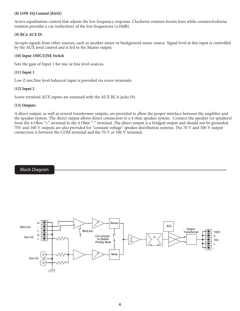## **(8) LOW EQ Control (BASS)**

Active equalization control that adjusts the low frequency response. Clockwise rotation boosts lows while counterclockwise rotation provides a cut (reduction) of the low frequencies  $(\pm 10dB)$ .

### **(9) RCA AUX IN**

Accepts signals from other sources, such as another mixer or background music source. Signal level at this input is controlled by the AUX level control and is fed to the Master output.

### **(10) Input 1MIC/LINE Switch**

Sets the gain of Input 1 for mic or line level sources.

# **(11) Input 1**

Low Z mic/line level balanced input is provided via screw terminals.

## **(12) Input 2**

Screw terminal AUX inputs are summed with the AUX RCA jacks (9).

#### **(13) Outputs**

A direct output, as well as several transformer outputs, are provided to allow the proper interface between the amplifier and the speaker system. The direct output allows direct connection to a 4 ohm speaker system. Connect the speaker (or speakers) from the 4 Ohm "+" terminal to the 4 Ohm "-" terminal. The direct output is a bridged output and should not be grounded. 70V and 100 V outputs are also provided for "constant voltage" speaker distribution systems. The 70 V and 100 V output connection is between the COM terminal and the 70 V or 100 V terminal.



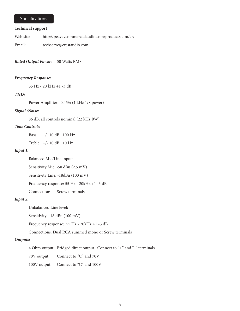# Specifications

#### **Technical support**

Web site: http://peaveycommercialaudio.com/products.cfm/cr/:

Email: techserve@crestaudio.com

*Rated Output Power*: 50 Watts RMS

#### *Frequency Response:*

55 Hz - 20 kHz +1 -3 dB

#### *THD:*

Power Amplifier: 0.45% (1 kHz 1/8 power)

#### *Signal /Noise:*

86 dB, all controls nominal (22 kHz BW)

#### *Tone Controls:*

Bass  $+/- 10$  dB  $100$  Hz

Treble +/- 10 dB 10 Hz

#### *Input 1:*

Balanced Mic/Line input:

Sensitivity Mic: -50 dBu (2.5 mV)

Sensitivity Line: -18dBu (100 mV)

Frequency response: 55 Hz - 20kHz +1 -3 dB

Connection: Screw terminals

#### *Input 2:*

Unbalanced Line level:

Sensitivity: -18 dBu (100 mV)

Frequency response: 55 Hz - 20kHz +1 -3 dB

Connections: Dual RCA summed mono or Screw terminals

## *Outputs:*

4 Ohm output: Bridged direct output. Connect to "+" and "-" terminals

70V output: Connect to "C" and 70V

100V output: Connect to "C" and 100V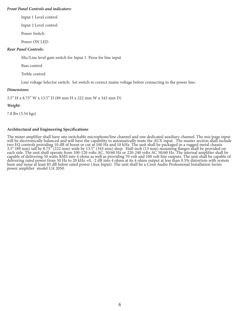#### *Front Panel Controls and indicators:*

Input 1 Level control

Input 2 Level control

Power Switch

Power ON LED

#### *Rear Panel Controls:*

Mic/Line level gain switch for Input 1 Press for line input

Bass control

Treble control

Line voltage Selector switch: Set switch to correct mains voltage before connecting to the power line.

#### *Dimensions:*

3.5" H x 8.75" W x 13.5" D (89 mm H x 222 mm W x 343 mm D)

#### *Weight:*

7.8 lbs (3.54 kgs)

#### **Architectural and Engineering Specifications**

The mixer amplifier shall have one switchable microphone/line channel and one dedicated auxiliary channel. The mic/page input will be electronically balanced and will have the capability to automatically mute the AUX input. The master section shall include two EQ controls providing 10 dB of boost or cut at 100 Hz and 10 kHz. The unit shall be packaged in a rugged metal chassis 3.5" (89 mm) tall by 8.75" (222 mm) wide by 13.5" (343 mm) deep. Half-inch (13 mm) mounting flanges shall be provided on each side. The unit shall operate from 100-120 volts AC, 50/60 Hz or 220-240 volts AC 50/60 Hz. The internal amplifier shall be capable of delivering 50 watts RMS into 4 ohms as well as providing 70 volt and 100 volt line outputs. The unit shall be capable of delivering rated power from 50 Hz to 20 kHz +0, -2 dB into 4 ohms at its 4 ohms output at less than 0.5% distortion with system hum and noise at least 85 dB below rated power (Aux Input). The unit shall be a Crest Audio Professional Installation Series power amplifier model UA 2050.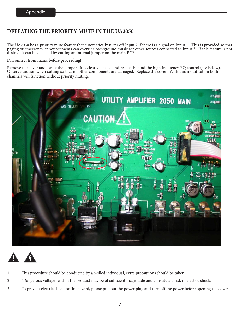# **DEFEATING THE PRIORITY MUTE IN THE UA2050**

The UA2050 has a priority mute feature that automatically turns off Input 2 if there is a signal on Input 1. This is provided so that paging or emergency announcements can override background music (or other source) connected to Input 2. If this feature is not desired, it can be defeated by cutting an internal jumper on the main PCB.

Disconnect from mains before proceeding!

Remove the cover and locate the jumper. It is clearly labeled and resides behind the high frequency EQ control (see below). Observe caution when cutting so that no other components are damaged. Replace the cover. With this modification both channels will function without priority muting.





- 1. This procedure should be conducted by a skilled individual, extra precautions should be taken.
- 2. "Dangerous voltage" within the product may be of sufficient magnitude and constitute a risk of electric shock.
- 3. To prevent electric shock or fire hazard, please pull out the power plug and turn off the power before opening the cover.